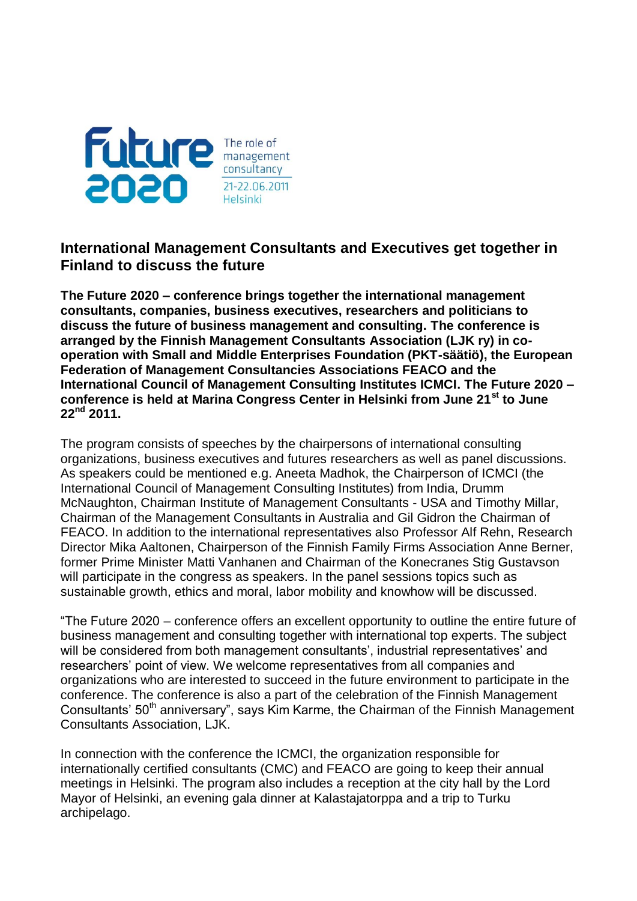

## **International Management Consultants and Executives get together in Finland to discuss the future**

**The Future 2020 – conference brings together the international management consultants, companies, business executives, researchers and politicians to discuss the future of business management and consulting. The conference is arranged by the Finnish Management Consultants Association (LJK ry) in cooperation with Small and Middle Enterprises Foundation (PKT-säätiö), the European Federation of Management Consultancies Associations FEACO and the International Council of Management Consulting Institutes ICMCI. The Future 2020 – conference is held at Marina Congress Center in Helsinki from June 21st to June 22nd 2011.**

The program consists of speeches by the chairpersons of international consulting organizations, business executives and futures researchers as well as panel discussions. As speakers could be mentioned e.g. Aneeta Madhok, the Chairperson of ICMCI (the International Council of Management Consulting Institutes) from India, Drumm McNaughton, Chairman Institute of Management Consultants - USA and Timothy Millar, Chairman of the Management Consultants in Australia and Gil Gidron the Chairman of FEACO. In addition to the international representatives also Professor Alf Rehn, Research Director Mika Aaltonen, Chairperson of the Finnish Family Firms Association Anne Berner, former Prime Minister Matti Vanhanen and Chairman of the Konecranes Stig Gustavson will participate in the congress as speakers. In the panel sessions topics such as sustainable growth, ethics and moral, labor mobility and knowhow will be discussed.

"The Future 2020 – conference offers an excellent opportunity to outline the entire future of business management and consulting together with international top experts. The subject will be considered from both management consultants', industrial representatives' and researchers' point of view. We welcome representatives from all companies and organizations who are interested to succeed in the future environment to participate in the conference. The conference is also a part of the celebration of the Finnish Management Consultants' 50<sup>th</sup> anniversary", says Kim Karme, the Chairman of the Finnish Management Consultants Association, LJK.

In connection with the conference the ICMCI, the organization responsible for internationally certified consultants (CMC) and FEACO are going to keep their annual meetings in Helsinki. The program also includes a reception at the city hall by the Lord Mayor of Helsinki, an evening gala dinner at Kalastajatorppa and a trip to Turku archipelago.